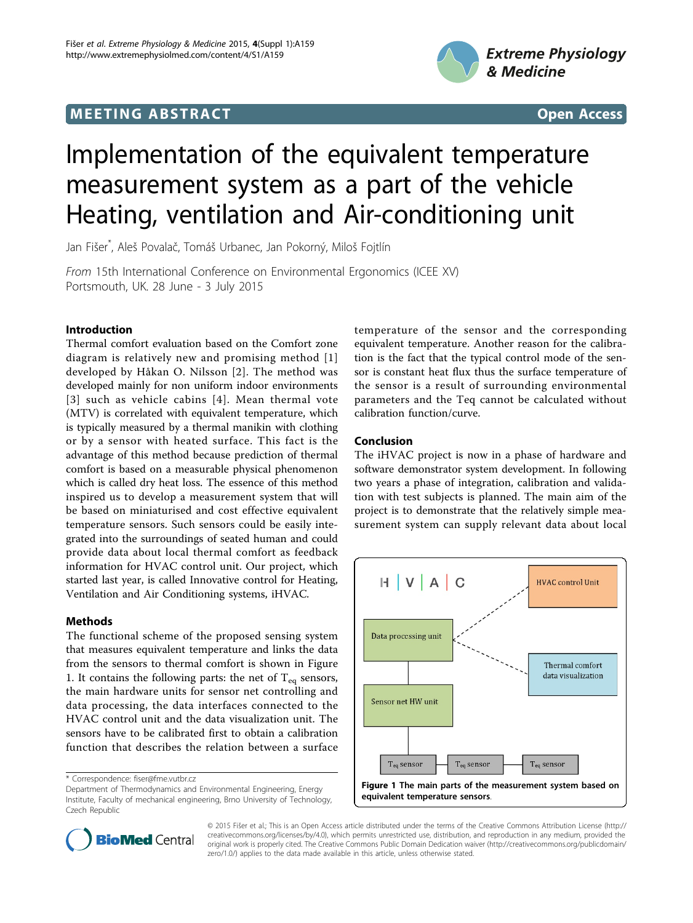## **MEETING ABSTRACT ACCESS**



# Implementation of the equivalent temperature measurement system as a part of the vehicle Heating, ventilation and Air-conditioning unit

Jan Fišer\* , Aleš Povalač, Tomáš Urbanec, Jan Pokorný, Miloš Fojtlín

From 15th International Conference on Environmental Ergonomics (ICEE XV) Portsmouth, UK. 28 June - 3 July 2015

## Introduction

Thermal comfort evaluation based on the Comfort zone diagram is relatively new and promising method [[1](#page-1-0)] developed by Håkan O. Nilsson [[2](#page-1-0)]. The method was developed mainly for non uniform indoor environments [[3\]](#page-1-0) such as vehicle cabins [[4\]](#page-1-0). Mean thermal vote (MTV) is correlated with equivalent temperature, which is typically measured by a thermal manikin with clothing or by a sensor with heated surface. This fact is the advantage of this method because prediction of thermal comfort is based on a measurable physical phenomenon which is called dry heat loss. The essence of this method inspired us to develop a measurement system that will be based on miniaturised and cost effective equivalent temperature sensors. Such sensors could be easily integrated into the surroundings of seated human and could provide data about local thermal comfort as feedback information for HVAC control unit. Our project, which started last year, is called Innovative control for Heating, Ventilation and Air Conditioning systems, iHVAC.

## Methods

The functional scheme of the proposed sensing system that measures equivalent temperature and links the data from the sensors to thermal comfort is shown in Figure 1. It contains the following parts: the net of  $T_{eq}$  sensors, the main hardware units for sensor net controlling and data processing, the data interfaces connected to the HVAC control unit and the data visualization unit. The sensors have to be calibrated first to obtain a calibration function that describes the relation between a surface

\* Correspondence: [fiser@fme.vutbr.cz](mailto:fiser@fme.vutbr.cz)

temperature of the sensor and the corresponding equivalent temperature. Another reason for the calibration is the fact that the typical control mode of the sensor is constant heat flux thus the surface temperature of the sensor is a result of surrounding environmental parameters and the Teq cannot be calculated without calibration function/curve.

## Conclusion

The iHVAC project is now in a phase of hardware and software demonstrator system development. In following two years a phase of integration, calibration and validation with test subjects is planned. The main aim of the project is to demonstrate that the relatively simple measurement system can supply relevant data about local





© 2015 Fišer et al.; This is an Open Access article distributed under the terms of the Creative Commons Attribution License [\(http://](http://creativecommons.org/licenses/by/4.0) [creativecommons.org/licenses/by/4.0](http://creativecommons.org/licenses/by/4.0)), which permits unrestricted use, distribution, and reproduction in any medium, provided the original work is properly cited. The Creative Commons Public Domain Dedication waiver ([http://creativecommons.org/publicdomain/](http://creativecommons.org/publicdomain/zero/1.0/) [zero/1.0/](http://creativecommons.org/publicdomain/zero/1.0/)) applies to the data made available in this article, unless otherwise stated.

Department of Thermodynamics and Environmental Engineering, Energy Institute, Faculty of mechanical engineering, Brno University of Technology, Czech Republic